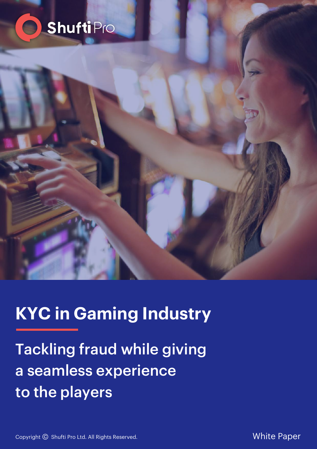



# **KYC in Gaming Industry**

Tackling fraud while giving a seamless experience to the players

Copyright © Shufti Pro Ltd. All Rights Reserved.

White Paper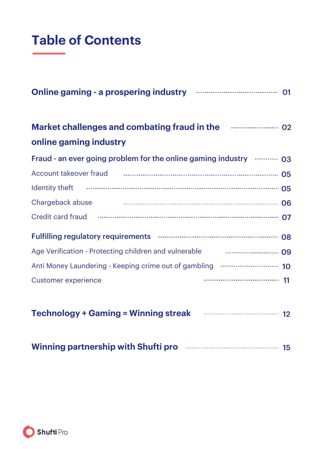### **Table of Contents**

| Online gaming - a prospering industry <b>Engineering</b> 01                                                                                                                                                                        |
|------------------------------------------------------------------------------------------------------------------------------------------------------------------------------------------------------------------------------------|
| Market challenges and combating fraud in the <b>Common Strauding</b> 02                                                                                                                                                            |
| online gaming industry                                                                                                                                                                                                             |
| Fraud - an ever going problem for the online gaming industry <b>EDIM</b> 03                                                                                                                                                        |
| Account takeover fraud <b>contained a manufacture of the CO</b> of the CO of the CO of the CO of the CO of the CO of the CO of the CO of the CO of the CO of the CO of the CO of the CO of the CO of the CO of the CO of the CO of |
|                                                                                                                                                                                                                                    |
| Chargeback abuse <b>Chargeback</b> abuse <b>Chargeback</b> abuse                                                                                                                                                                   |
| Credit card fraud <b>Credit card fraud Credit card fraud Credit card fraud Credit card fraud Credit Credit Credit Credit Credit Credit Credit Credit Credit Credit Credit Credit Credit Credit Credit Credit Credit Cred</b>       |
|                                                                                                                                                                                                                                    |
|                                                                                                                                                                                                                                    |
| Anti Money Laundering - Keeping crime out of gambling  10                                                                                                                                                                          |
| <b>Customer experience</b>                                                                                                                                                                                                         |
| Technology + Gaming = Winning streak <b>Fig. 12</b> 12                                                                                                                                                                             |
| Winning partnership with Shufti pro <b>manual contract of the Shufti pro</b>                                                                                                                                                       |

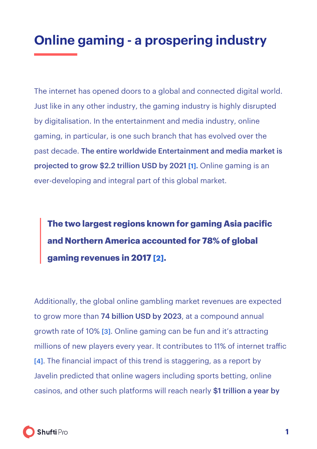## <span id="page-2-0"></span>**Online gaming - a prospering industry**

The internet has opened doors to a global and connected digital world. Just like in any other industry, the gaming industry is highly disrupted by digitalisation. In the entertainment and media industry, online gaming, in particular, is one such branch that has evolved over the past decade. The entire worldwide Entertainment and media market is projected to grow \$2.2 trillion USD by 2021 **[\[1\]](#page-19-0)**. Online gaming is an ever-developing and integral part of this global market.

**The two largest regions known for gaming Asia pacific and Northern America accounted for 78% of global gaming revenues in 201[7 \[2\].](#page-19-0)** 

Additionally, the global online gambling market revenues are expected to grow more than 74 billion USD by 2023, at a compound annual growth rate of 10% [\[3\]](#page-19-0). Online gaming can be fun and it's attracting millions of new players every year. It contributes to 11% of internet trafic [\[4\]](#page-19-0). The financial impact of this trend is staggering, as a report by Javelin predicted that online wagers including sports betting, online casinos, and other such platforms will reach nearly \$1 trillion a year by

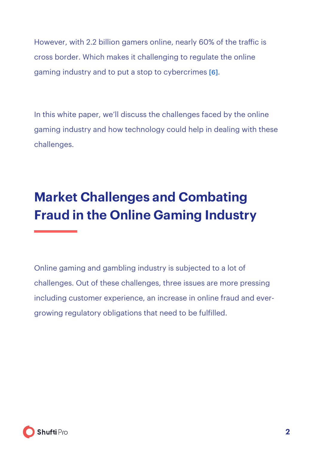<span id="page-3-0"></span>However, with 2.2 billion gamers online, nearly 60% of the trafic is cross border. Which makes it challenging to regulate the online gaming industry and to put a stop to cybercrimes [\[6\]](#page-19-0).

In this white paper, we'll discuss the challenges faced by the online gaming industry and how technology could help in dealing with these challenges.

# **Market Challenges and Combating Fraud in the Online Gaming Industry**

Online gaming and gambling industry is subjected to a lot of challenges. Out of these challenges, three issues are more pressing including customer experience, an increase in online fraud and evergrowing regulatory obligations that need to be fulfilled.

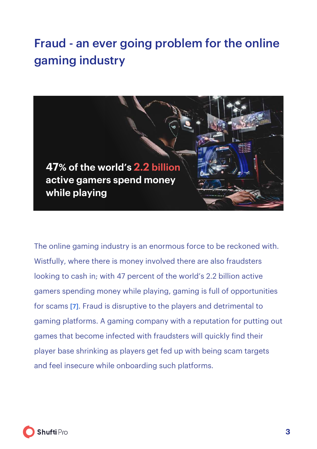### <span id="page-4-0"></span>Fraud - an ever going problem for the online gaming industry



The online gaming industry is an enormous force to be reckoned with. Wistfully, where there is money involved there are also fraudsters looking to cash in; with 47 percent of the world's 2.2 billion active gamers spending money while playing, gaming is full of opportunities for scams [\[7\]](#page-19-0). Fraud is disruptive to the players and detrimental to gaming platforms. A gaming company with a reputation for putting out games that become infected with fraudsters will quickly find their player base shrinking as players get fed up with being scam targets and feel insecure while onboarding such platforms.

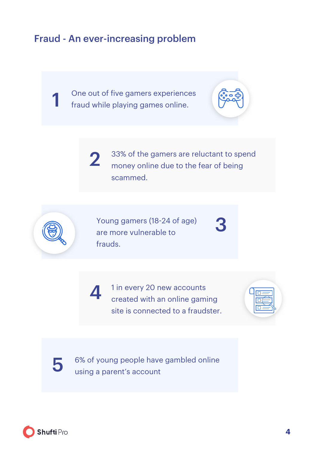#### Fraud - An ever-increasing problem

1 One out of five gamers experiences fraud while playing games online.



2 33% of the gamers are reluctant to spend money online due to the fear of being scammed.



Young gamers (18-24 of age) are more vulnerable to frauds.

1 in every 20 new accounts created with an online gaming site is connected to a fraudster.





5 6% of young people have gambled online using a parent's account

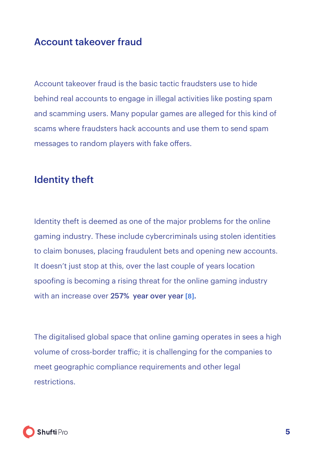#### <span id="page-6-0"></span>Account takeover fraud

Account takeover fraud is the basic tactic fraudsters use to hide behind real accounts to engage in illegal activities like posting spam and scamming users. Many popular games are alleged for this kind of scams where fraudsters hack accounts and use them to send spam messages to random players with fake offers.

#### Identity theft

Identity theft is deemed as one of the major problems for the online gaming industry. These include cybercriminals using stolen identities to claim bonuses, placing fraudulent bets and opening new accounts. It doesn't just stop at this, over the last couple of years location spoofing is becoming a rising threat for the online gaming industry with an increase over 257% year over yea[r \[8\].](#page-19-0)

The digitalised global space that online gaming operates in sees a high volume of cross-border trafic; it is challenging for the companies to meet geographic compliance requirements and other legal restrictions.

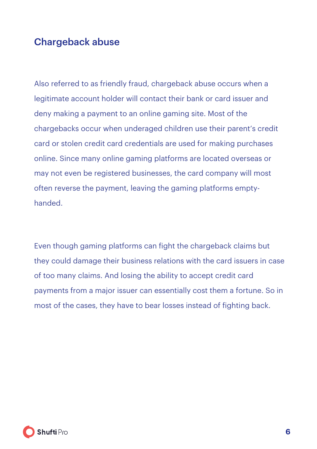#### <span id="page-7-0"></span>Chargeback abuse

Also referred to as friendly fraud, chargeback abuse occurs when a legitimate account holder will contact their bank or card issuer and deny making a payment to an online gaming site. Most of the chargebacks occur when underaged children use their parent's credit card or stolen credit card credentials are used for making purchases online. Since many online gaming platforms are located overseas or may not even be registered businesses, the card company will most often reverse the payment, leaving the gaming platforms emptyhanded.

Even though gaming platforms can fight the chargeback claims but they could damage their business relations with the card issuers in case of too many claims. And losing the ability to accept credit card payments from a major issuer can essentially cost them a fortune. So in most of the cases, they have to bear losses instead of fighting back.

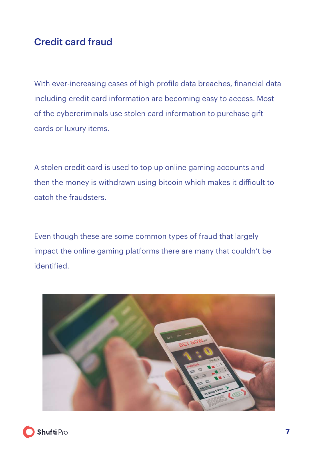#### <span id="page-8-0"></span>Credit card fraud

With ever-increasing cases of high profile data breaches, financial data including credit card information are becoming easy to access. Most of the cybercriminals use stolen card information to purchase gift cards or luxury items.

A stolen credit card is used to top up online gaming accounts and then the money is withdrawn using bitcoin which makes it dificult to catch the fraudsters.

Even though these are some common types of fraud that largely impact the online gaming platforms there are many that couldn't be identified.



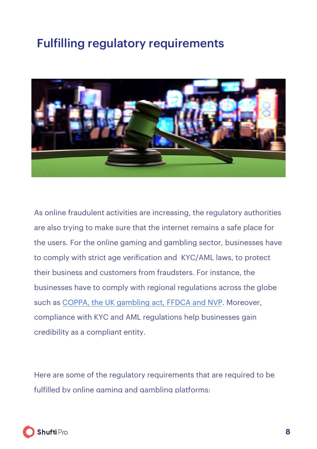### <span id="page-9-0"></span>Fulfilling regulatory requirements



As online fraudulent activities are increasing, the regulatory authorities are also trying to make sure that the internet remains a safe place for the users. For the online gaming and gambling sector, businesses have to comply with strict age verification and KYC/AML laws, to protect their business and customers from fraudsters. For instance, the businesses have to comply with regional regulations across the globe such as [COPPA, the UK gambling act, FFDCA and NVP.](https://shuftipro.com/blogs/age-verification-regulations) Moreover, compliance with KYC and AML regulations help businesses gain credibility as a compliant entity.

Here are some of the regulatory requirements that are required to be fulfilled by online gaming and gambling platforms:

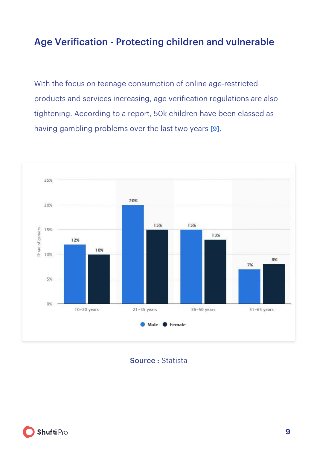#### <span id="page-10-0"></span>Age Verification - Protecting children and vulnerable

With the focus on teenage consumption of online age-restricted products and services increasing, age verification regulations are also tightening. According to a report, 50k children have been classed as having gambling problems over the last two years [\[9\]](#page-19-0).



Source : [Statista](https://www.statista.com/statistics/292516/pc-online-game-market-value-worldwide/)

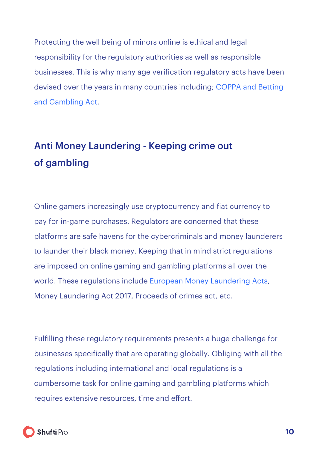<span id="page-11-0"></span>Protecting the well being of minors online is ethical and legal responsibility for the regulatory authorities as well as responsible businesses. This is why many age verification regulatory acts have been devised over the years in many countries including; COPPA and Betting [and Gambling Act.](https://shuftipro.com/blogs/age-verification-regulations)

### Anti Money Laundering - Keeping crime out of gambling

Online gamers increasingly use cryptocurrency and fiat currency to pay for in-game purchases. Regulators are concerned that these platforms are safe havens for the cybercriminals and money launderers to launder their black money. Keeping that in mind strict regulations are imposed on online gaming and gambling platforms all over the world. These regulations include European Money Laundering Acts, Money Laundering Act 2017, Proceeds of crimes act, etc.

Fulfilling these regulatory requirements presents a huge challenge for businesses specifically that are operating globally. Obliging with all the regulations including international and local regulations is a cumbersome task for online gaming and gambling platforms which requires extensive resources, time and effort.

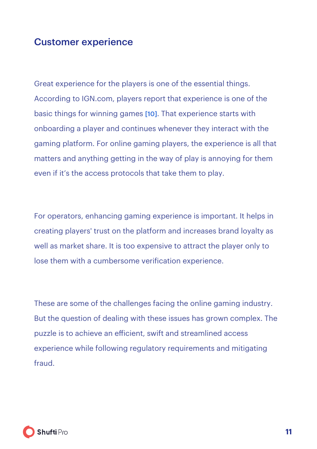#### <span id="page-12-0"></span>Customer experience

Great experience for the players is one of the essential things. According to IGN.com, players report that experience is one of the basic things for winning games [\[10\]](#page-19-0). That experience starts with onboarding a player and continues whenever they interact with the gaming platform. For online gaming players, the experience is all that matters and anything getting in the way of play is annoying for them even if it's the access protocols that take them to play.

For operators, enhancing gaming experience is important. It helps in creating players' trust on the platform and increases brand loyalty as well as market share. It is too expensive to attract the player only to lose them with a cumbersome verification experience.

These are some of the challenges facing the online gaming industry. But the question of dealing with these issues has grown complex. The puzzle is to achieve an eficient, swift and streamlined access experience while following regulatory requirements and mitigating fraud.

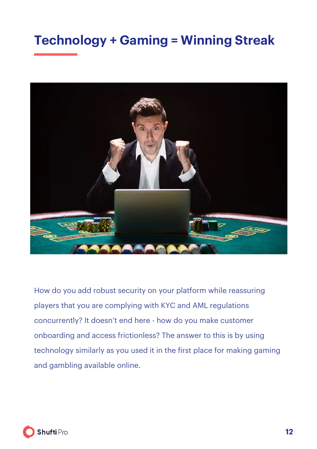### <span id="page-13-0"></span>**Technology + Gaming = Winning Streak**



How do you add robust security on your platform while reassuring players that you are complying with KYC and AML regulations concurrently? It doesn't end here - how do you make customer onboarding and access frictionless? The answer to this is by using technology similarly as you used it in the first place for making gaming and gambling available online.

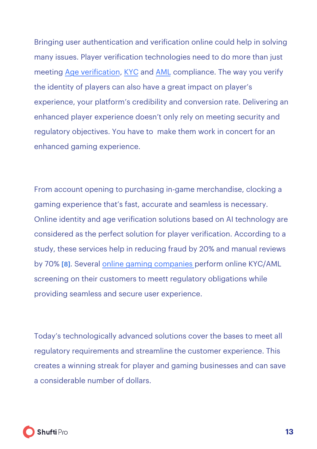Bringing user authentication and verification online could help in solving many issues. Player verification technologies need to do more than just meeting Age verification, [KYC](https://shuftipro.com/identity-verification) and AML compliance. The way you verify the identity of players can also have a great impact on player's experience, your platform's credibility and conversion rate. Delivering an enhanced player experience doesn't only rely on meeting security and regulatory objectives. You have to make them work in concert for an enhanced gaming experience.

From account opening to purchasing in-game merchandise, clocking a gaming experience that's fast, accurate and seamless is necessary. Online identity and age verification solutions based on AI technology are considered as the perfect solution for player verification. According to a study, these services help in reducing fraud by 20% and manual reviews by 70% [\[8\]](#page-19-0). Seve[ral online gaming compan](https://shuftipro.com/wp-content/uploads/Artplant-new-logo.pdf)ies perform online KYC/AML screening on their customers to meett regulatory obligations while providing seamless and secure user experience.

Today's technologically advanced solutions cover the bases to meet all regulatory requirements and streamline the customer experience. This creates a winning streak for player and gaming businesses and can save a considerable number of dollars.

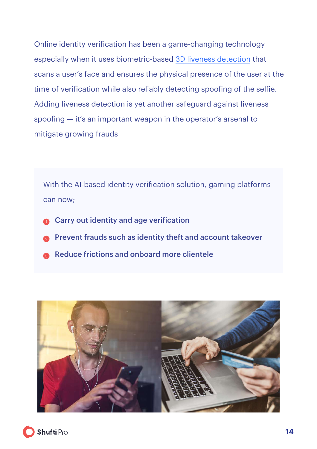Online identity verification has been a game-changing technology especially when it uses biometric-based [3D liveness detection](https://shuftipro.com/face-verification) that scans a user's face and ensures the physical presence of the user at the time of verification while also reliably detecting spoofing of the selfie. Adding liveness detection is yet another safeguard against liveness spoofing — it's an important weapon in the operator's arsenal to mitigate growing frauds

With the AI-based identity verification solution, gaming platforms can now;

- Carry out identity and age verification 1
- Prevent frauds such as identity theft and account takeover 2
- Reduce frictions and onboard more clientele 3



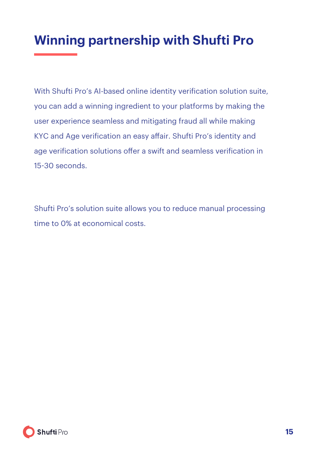## <span id="page-16-0"></span>**Winning partnership with Shufti Pro**

With Shufti Pro's AI-based online identity verification solution suite, you can add a winning ingredient to your platforms by making the user experience seamless and mitigating fraud all while making KYC and Age verification an easy afair. Shufti Pro's identity and age verification solutions offer a swift and seamless verification in 15-30 seconds.

Shufti Pro's solution suite allows you to reduce manual processing time to 0% at economical costs.

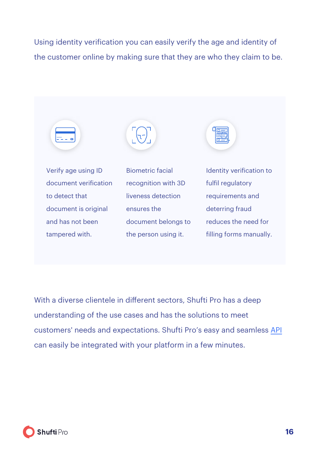Using identity verification you can easily verify the age and identity of the customer online by making sure that they are who they claim to be.



With a diverse clientele in diferent sectors, Shufti Pro has a deep understanding of the use cases and has the solutions to meet customers' needs and expectations. Shufti Pro's easy and seamless API can easily be integrated with your platform in a few minutes.

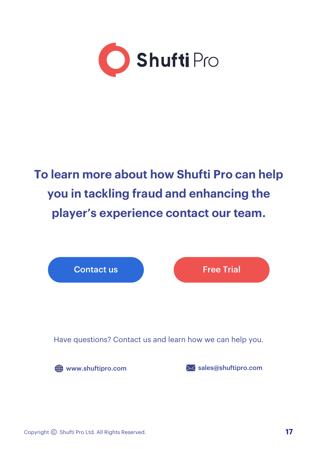

# **To learn more about how Shufti Pro can help you in tackling fraud and enhancing the player's experience contact our team.**

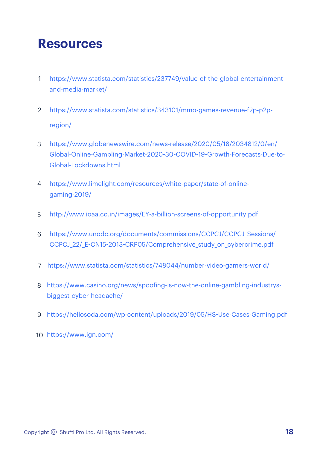### <span id="page-19-0"></span>**Resources**

- [https://www.statista.com/statistics/237749/value-of-the-global-entertainment](https://www.investopedia.com/news/top-video-game-stocks-2017/)[and-media-market/](https://www.investopedia.com/news/top-video-game-stocks-2017/) 1
- [https://www.statista.com/statistics/343101/mmo-games-revenue-f2p-p2p](https://www.statista.com/statistics/292516/pc-online-game-market-value-worldwide/)[region/](https://www.statista.com/statistics/292516/pc-online-game-market-value-worldwide/) 2
- [https://www.globenewswire.com/news-release/2020/05/18/2034812/0/en/](https://www.statista.com/statistics/292516/pc-online-game-market-value-worldwide/) [Global-Online-Gambling-Market-2020](https://www.statista.com/statistics/292516/pc-online-game-market-value-worldwide/)-30-COVID-19-Growth-Forecasts-Due-to-[Global-Lockdowns.html](https://www.statista.com/statistics/292516/pc-online-game-market-value-worldwide/) 3
- [https://www.limelight.com/resources/white-paper/state-of-online-](https://www.aciworldwide.com/news-and-events/press-releases/2018/august/1-in-5-gamers-has-experienced-fraud-when-paying-for-games-online)4 [gaming-2019/](https://www.aciworldwide.com/news-and-events/press-releases/2018/august/1-in-5-gamers-has-experienced-fraud-when-paying-for-games-online)
- [http://www.ioaa.co.in/images/EY-a-billion-screens-of-opportunity.pdf](https://chargebacks911.com/online-gaming-fraud/) 5
- [https://www.unodc.org/documents/commissions/CCPCJ/CCPCJ\\_Sessions/](https://hellosoda.com/wp-content/uploads/2019/05/HS-Use-Cases-Gaming.pdf) CCPCJ\_22/\_E-CN15-2013-[CRP05/Comprehensive\\_study\\_on\\_cybercrime.pdf](https://hellosoda.com/wp-content/uploads/2019/05/HS-Use-Cases-Gaming.pdf) 6
- [https://www.statista.com/statistics/748044/number-video-gamers-world/](https://hellosoda.com/wp-content/uploads/2019/05/HS-Use-Cases-Gaming.pdf) 7
- https://www.casino.org/news/spoof[ing-is-now-the-online-gambling-industrys-](https://hellosoda.com/wp-content/uploads/2019/05/HS-Use-Cases-Gaming.pdf)8 [biggest-cyber-headache/](https://hellosoda.com/wp-content/uploads/2019/05/HS-Use-Cases-Gaming.pdf)
- [https://hellosoda.com/wp-content/uploads/2019/05/HS](https://hellosoda.com/wp-content/uploads/2019/05/HS-Use-Cases-Gaming.pdf)-Use-Cases-Gaming.pdf 9
- 10 [https://www.ign.com/](https://hellosoda.com/wp-content/uploads/2019/05/HS-Use-Cases-Gaming.pdf)